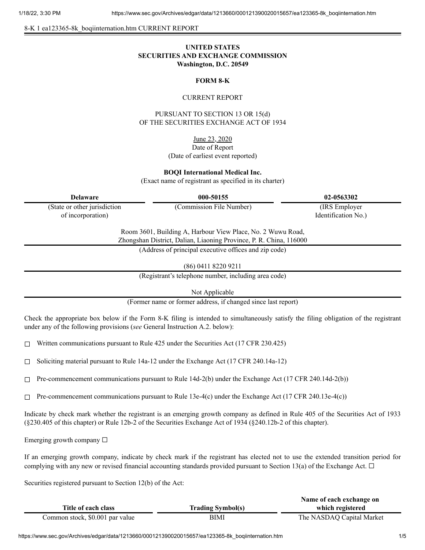8-K 1 ea123365-8k\_boqiinternation.htm CURRENT REPORT

# **UNITED STATES SECURITIES AND EXCHANGE COMMISSION Washington, D.C. 20549**

## **FORM 8-K**

#### CURRENT REPORT

PURSUANT TO SECTION 13 OR 15(d) OF THE SECURITIES EXCHANGE ACT OF 1934

June 23, 2020

### Date of Report (Date of earliest event reported)

**BOQI International Medical Inc.**

(Exact name of registrant as specified in its charter)

(State or other jurisdiction of incorporation)

**Delaware 000-50155 02-0563302**

(Commission File Number) (IRS Employer Identification No.)

Room 3601, Building A, Harbour View Place, No. 2 Wuwu Road, Zhongshan District, Dalian, Liaoning Province, P. R. China, 116000

(Address of principal executive offices and zip code)

(86) 0411 8220 9211

(Registrant's telephone number, including area code)

Not Applicable

(Former name or former address, if changed since last report)

Check the appropriate box below if the Form 8-K filing is intended to simultaneously satisfy the filing obligation of the registrant under any of the following provisions (*see* General Instruction A.2. below):

 $\Box$  Written communications pursuant to Rule 425 under the Securities Act (17 CFR 230.425)

 $\Box$  Soliciting material pursuant to Rule 14a-12 under the Exchange Act (17 CFR 240.14a-12)

 $\Box$  Pre-commencement communications pursuant to Rule 14d-2(b) under the Exchange Act (17 CFR 240.14d-2(b))

 $\Box$  Pre-commencement communications pursuant to Rule 13e-4(c) under the Exchange Act (17 CFR 240.13e-4(c))

Indicate by check mark whether the registrant is an emerging growth company as defined in Rule 405 of the Securities Act of 1933 (§230.405 of this chapter) or Rule 12b-2 of the Securities Exchange Act of 1934 (§240.12b-2 of this chapter).

Emerging growth company  $\Box$ 

If an emerging growth company, indicate by check mark if the registrant has elected not to use the extended transition period for complying with any new or revised financial accounting standards provided pursuant to Section 13(a) of the Exchange Act.  $\Box$ 

Securities registered pursuant to Section 12(b) of the Act:

|                                 |                          | Name of each exchange on  |
|---------------------------------|--------------------------|---------------------------|
| Title of each class             | <b>Trading Symbol(s)</b> | which registered          |
| Common stock, \$0.001 par value | BIMI                     | The NASDAQ Capital Market |

https://www.sec.gov/Archives/edgar/data/1213660/000121390020015657/ea123365-8k\_boqiinternation.htm 1/5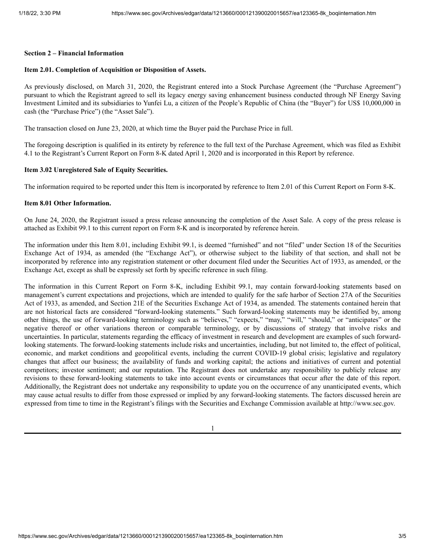## **Section 2 – Financial Information**

### **Item 2.01. Completion of Acquisition or Disposition of Assets.**

As previously disclosed, on March 31, 2020, the Registrant entered into a Stock Purchase Agreement (the "Purchase Agreement") pursuant to which the Registrant agreed to sell its legacy energy saving enhancement business conducted through NF Energy Saving Investment Limited and its subsidiaries to Yunfei Lu, a citizen of the People's Republic of China (the "Buyer") for US\$ 10,000,000 in cash (the "Purchase Price") (the "Asset Sale").

The transaction closed on June 23, 2020, at which time the Buyer paid the Purchase Price in full.

The foregoing description is qualified in its entirety by reference to the full text of the Purchase Agreement, which was filed as Exhibit 4.1 to the Registrant's Current Report on Form 8-K dated April 1, 2020 and is incorporated in this Report by reference.

## **Item 3.02 Unregistered Sale of Equity Securities.**

The information required to be reported under this Item is incorporated by reference to Item 2.01 of this Current Report on Form 8-K.

### **Item 8.01 Other Information.**

On June 24, 2020, the Registrant issued a press release announcing the completion of the Asset Sale. A copy of the press release is attached as Exhibit 99.1 to this current report on Form 8-K and is incorporated by reference herein.

The information under this Item 8.01, including Exhibit 99.1, is deemed "furnished" and not "filed" under Section 18 of the Securities Exchange Act of 1934, as amended (the "Exchange Act"), or otherwise subject to the liability of that section, and shall not be incorporated by reference into any registration statement or other document filed under the Securities Act of 1933, as amended, or the Exchange Act, except as shall be expressly set forth by specific reference in such filing.

The information in this Current Report on Form 8-K, including Exhibit 99.1, may contain forward-looking statements based on management's current expectations and projections, which are intended to qualify for the safe harbor of Section 27A of the Securities Act of 1933, as amended, and Section 21E of the Securities Exchange Act of 1934, as amended. The statements contained herein that are not historical facts are considered "forward-looking statements." Such forward-looking statements may be identified by, among other things, the use of forward-looking terminology such as "believes," "expects," "may," "will," "should," or "anticipates" or the negative thereof or other variations thereon or comparable terminology, or by discussions of strategy that involve risks and uncertainties. In particular, statements regarding the efficacy of investment in research and development are examples of such forwardlooking statements. The forward-looking statements include risks and uncertainties, including, but not limited to, the effect of political, economic, and market conditions and geopolitical events, including the current COVID-19 global crisis; legislative and regulatory changes that affect our business; the availability of funds and working capital; the actions and initiatives of current and potential competitors; investor sentiment; and our reputation. The Registrant does not undertake any responsibility to publicly release any revisions to these forward-looking statements to take into account events or circumstances that occur after the date of this report. Additionally, the Registrant does not undertake any responsibility to update you on the occurrence of any unanticipated events, which may cause actual results to differ from those expressed or implied by any forward-looking statements. The factors discussed herein are expressed from time to time in the Registrant's filings with the Securities and Exchange Commission available at http://www.sec.gov.

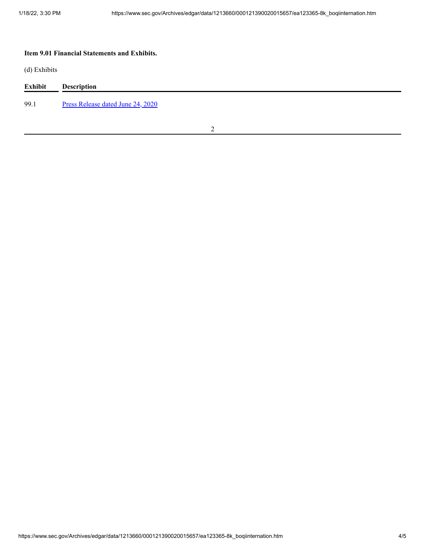# **Item 9.01 Financial Statements and Exhibits.**

(d) Exhibits

| <b>Exhibit</b> | <b>Description</b>                |
|----------------|-----------------------------------|
| 99.1           | Press Release dated June 24, 2020 |

2